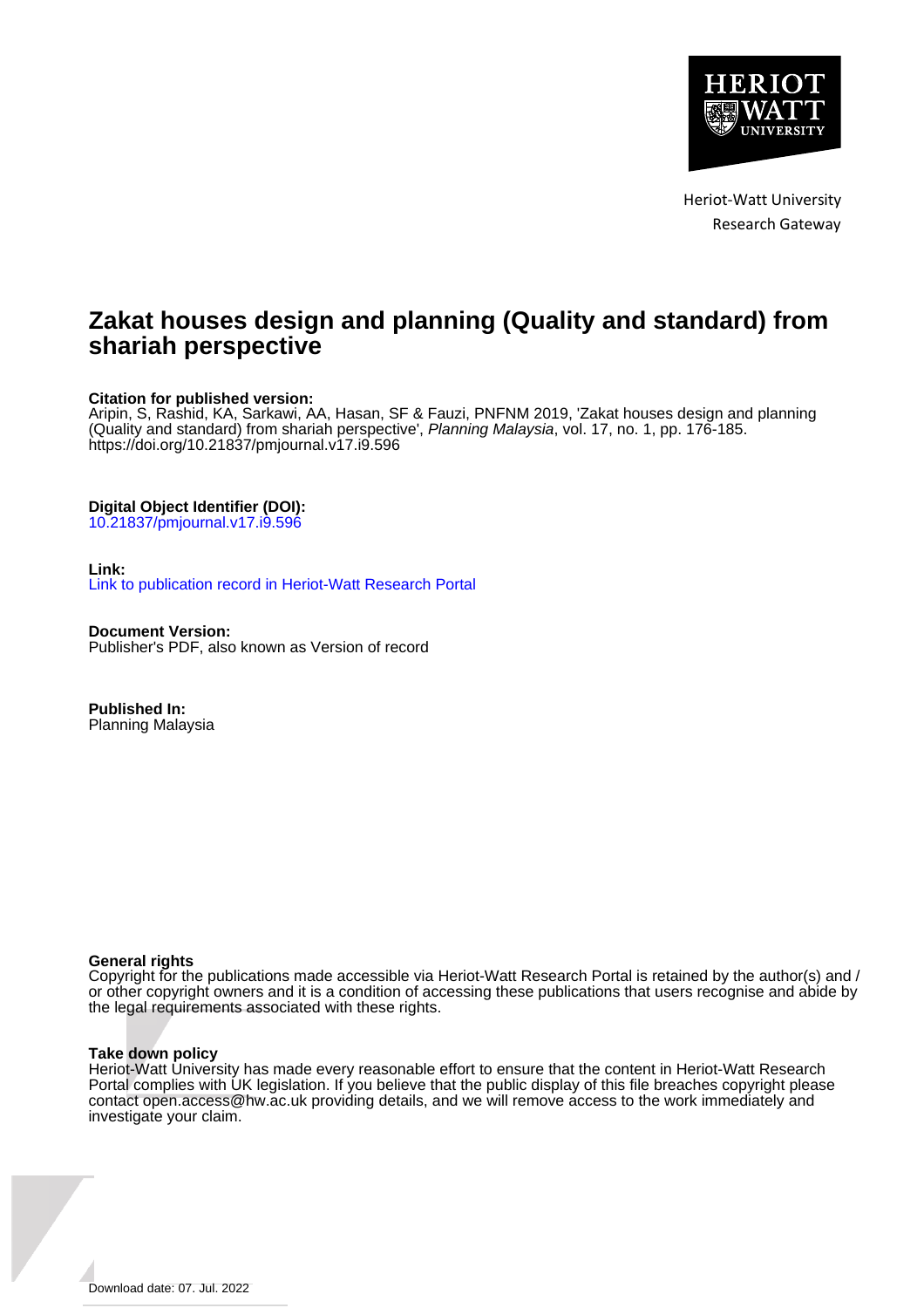

Heriot-Watt University Research Gateway

# **Zakat houses design and planning (Quality and standard) from shariah perspective**

#### **Citation for published version:**

Aripin, S, Rashid, KA, Sarkawi, AA, Hasan, SF & Fauzi, PNFNM 2019, 'Zakat houses design and planning (Quality and standard) from shariah perspective', Planning Malaysia, vol. 17, no. 1, pp. 176-185. <https://doi.org/10.21837/pmjournal.v17.i9.596>

## **Digital Object Identifier (DOI):**

[10.21837/pmjournal.v17.i9.596](https://doi.org/10.21837/pmjournal.v17.i9.596)

#### **Link:**

[Link to publication record in Heriot-Watt Research Portal](https://researchportal.hw.ac.uk/en/publications/9a52363e-dd58-4082-940d-0003b5c334db)

**Document Version:** Publisher's PDF, also known as Version of record

**Published In:** Planning Malaysia

#### **General rights**

Copyright for the publications made accessible via Heriot-Watt Research Portal is retained by the author(s) and / or other copyright owners and it is a condition of accessing these publications that users recognise and abide by the legal requirements associated with these rights.

#### **Take down policy**

Heriot-Watt University has made every reasonable effort to ensure that the content in Heriot-Watt Research Portal complies with UK legislation. If you believe that the public display of this file breaches copyright please contact open.access@hw.ac.uk providing details, and we will remove access to the work immediately and investigate your claim.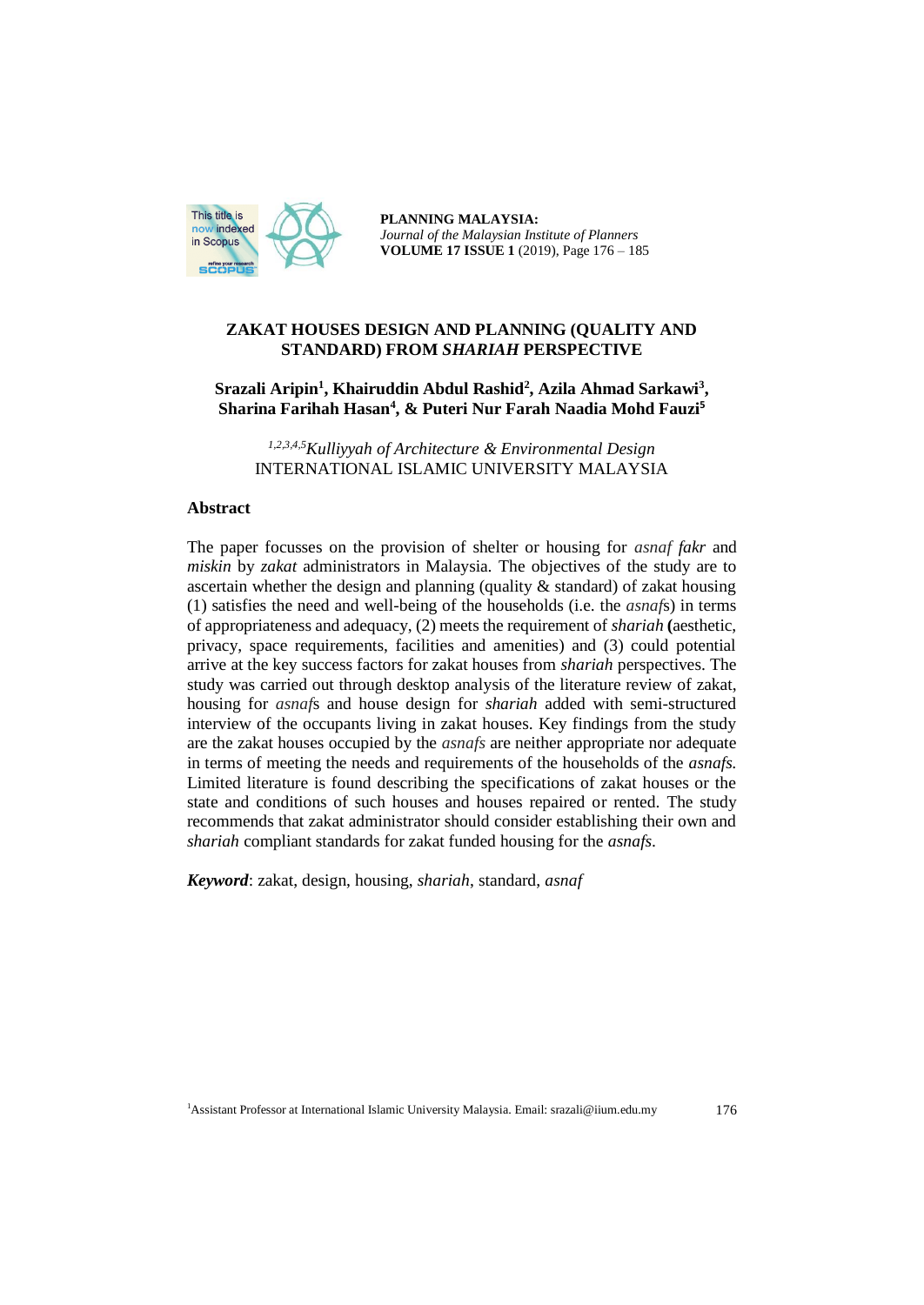

**PLANNING MALAYSIA:** *Journal of the Malaysian Institute of Planners* **VOLUME 17 ISSUE 1** (2019), Page 176 – 185

## **ZAKAT HOUSES DESIGN AND PLANNING (QUALITY AND STANDARD) FROM** *SHARIAH* **PERSPECTIVE**

## **Srazali Aripin<sup>1</sup> , Khairuddin Abdul Rashid<sup>2</sup> , Azila Ahmad Sarkawi<sup>3</sup> , Sharina Farihah Hasan<sup>4</sup> , & Puteri Nur Farah Naadia Mohd Fauzi<sup>5</sup>**

*1,2,3,4,5Kulliyyah of Architecture & Environmental Design* INTERNATIONAL ISLAMIC UNIVERSITY MALAYSIA

## **Abstract**

The paper focusses on the provision of shelter or housing for *asnaf fakr* and *miskin* by *zakat* administrators in Malaysia. The objectives of the study are to ascertain whether the design and planning (quality  $\&$  standard) of zakat housing (1) satisfies the need and well-being of the households (i.e. the *asnaf*s) in terms of appropriateness and adequacy, (2) meets the requirement of *shariah* **(**aesthetic, privacy, space requirements, facilities and amenities) and (3) could potential arrive at the key success factors for zakat houses from *shariah* perspectives. The study was carried out through desktop analysis of the literature review of zakat, housing for *asnaf*s and house design for *shariah* added with semi-structured interview of the occupants living in zakat houses. Key findings from the study are the zakat houses occupied by the *asnafs* are neither appropriate nor adequate in terms of meeting the needs and requirements of the households of the *asnafs.*  Limited literature is found describing the specifications of zakat houses or the state and conditions of such houses and houses repaired or rented. The study recommends that zakat administrator should consider establishing their own and *shariah* compliant standards for zakat funded housing for the *asnafs*.

*Keyword*: zakat, design, housing, *shariah*, standard, *asnaf*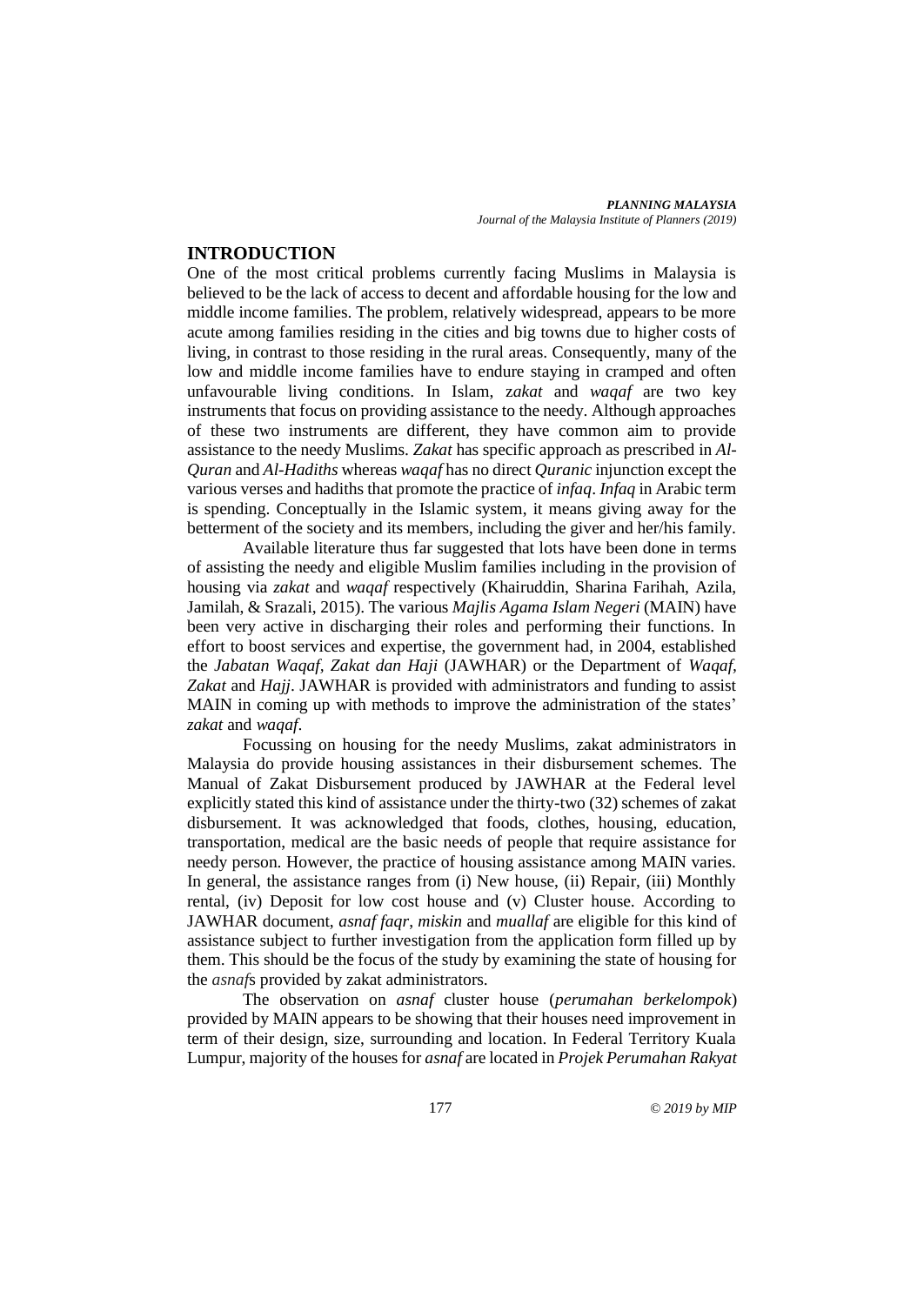## **INTRODUCTION**

One of the most critical problems currently facing Muslims in Malaysia is believed to be the lack of access to decent and affordable housing for the low and middle income families. The problem, relatively widespread, appears to be more acute among families residing in the cities and big towns due to higher costs of living, in contrast to those residing in the rural areas. Consequently, many of the low and middle income families have to endure staying in cramped and often unfavourable living conditions. In Islam, z*akat* and *waqaf* are two key instruments that focus on providing assistance to the needy. Although approaches of these two instruments are different, they have common aim to provide assistance to the needy Muslims. *Zakat* has specific approach as prescribed in *Al-Quran* and *Al-Hadiths* whereas *waqaf* has no direct *Quranic* injunction except the various verses and hadiths that promote the practice of *infaq*. *Infaq* in Arabic term is spending. Conceptually in the Islamic system, it means giving away for the betterment of the society and its members, including the giver and her/his family.

Available literature thus far suggested that lots have been done in terms of assisting the needy and eligible Muslim families including in the provision of housing via *zakat* and *waqaf* respectively (Khairuddin, Sharina Farihah, Azila, Jamilah, & Srazali, 2015). The various *Majlis Agama Islam Negeri* (MAIN) have been very active in discharging their roles and performing their functions. In effort to boost services and expertise, the government had, in 2004, established the *Jabatan Waqaf, Zakat dan Haji* (JAWHAR) or the Department of *Waqaf, Zakat* and *Hajj*. JAWHAR is provided with administrators and funding to assist MAIN in coming up with methods to improve the administration of the states' *zakat* and *waqaf*.

Focussing on housing for the needy Muslims, zakat administrators in Malaysia do provide housing assistances in their disbursement schemes. The Manual of Zakat Disbursement produced by JAWHAR at the Federal level explicitly stated this kind of assistance under the thirty-two (32) schemes of zakat disbursement. It was acknowledged that foods, clothes, housing, education, transportation, medical are the basic needs of people that require assistance for needy person. However, the practice of housing assistance among MAIN varies. In general, the assistance ranges from (i) New house, (ii) Repair, (iii) Monthly rental, (iv) Deposit for low cost house and (v) Cluster house. According to JAWHAR document, *asnaf faqr*, *miskin* and *muallaf* are eligible for this kind of assistance subject to further investigation from the application form filled up by them. This should be the focus of the study by examining the state of housing for the *asnaf*s provided by zakat administrators.

The observation on *asnaf* cluster house (*perumahan berkelompok*) provided by MAIN appears to be showing that their houses need improvement in term of their design, size, surrounding and location. In Federal Territory Kuala Lumpur, majority of the houses for *asnaf* are located in *Projek Perumahan Rakyat*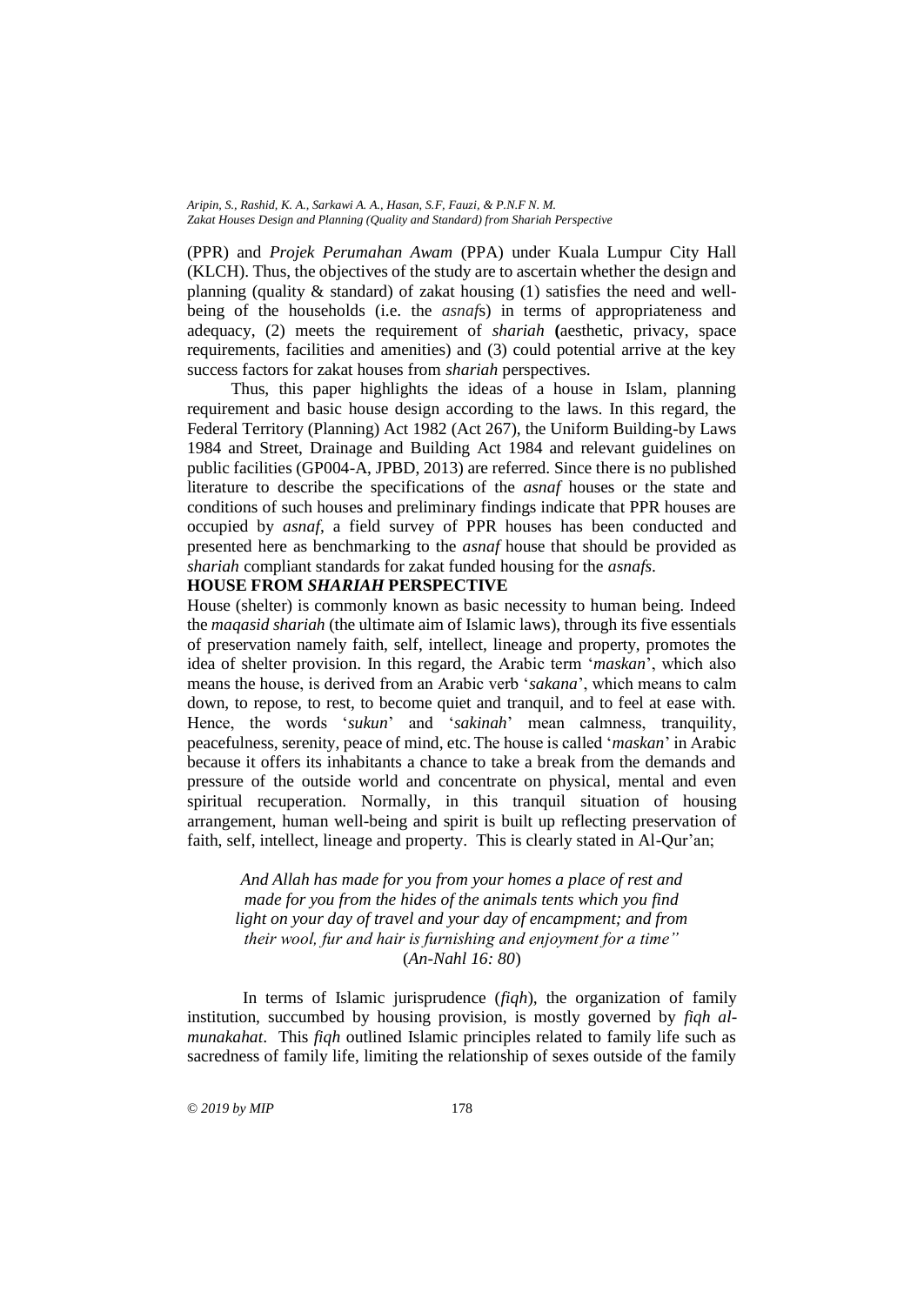(PPR) and *Projek Perumahan Awam* (PPA) under Kuala Lumpur City Hall (KLCH). Thus, the objectives of the study are to ascertain whether the design and planning (quality  $\&$  standard) of zakat housing (1) satisfies the need and wellbeing of the households (i.e. the *asnaf*s) in terms of appropriateness and adequacy, (2) meets the requirement of *shariah* **(**aesthetic, privacy, space requirements, facilities and amenities) and (3) could potential arrive at the key success factors for zakat houses from *shariah* perspectives.

Thus, this paper highlights the ideas of a house in Islam, planning requirement and basic house design according to the laws. In this regard, the Federal Territory (Planning) Act 1982 (Act 267), the Uniform Building-by Laws 1984 and Street, Drainage and Building Act 1984 and relevant guidelines on public facilities (GP004-A, JPBD, 2013) are referred. Since there is no published literature to describe the specifications of the *asnaf* houses or the state and conditions of such houses and preliminary findings indicate that PPR houses are occupied by *asnaf*, a field survey of PPR houses has been conducted and presented here as benchmarking to the *asnaf* house that should be provided as *shariah* compliant standards for zakat funded housing for the *asnafs*.

## **HOUSE FROM** *SHARIAH* **PERSPECTIVE**

House (shelter) is commonly known as basic necessity to human being. Indeed the *maqasid shariah* (the ultimate aim of Islamic laws), through its five essentials of preservation namely faith, self, intellect, lineage and property, promotes the idea of shelter provision. In this regard, the Arabic term '*maskan*', which also means the house, is derived from an Arabic verb '*sakana*', which means to calm down, to repose, to rest, to become quiet and tranquil, and to feel at ease with. Hence, the words '*sukun*' and '*sakinah*' mean calmness, tranquility, peacefulness, serenity, peace of mind, etc.The house is called '*maskan*' in Arabic because it offers its inhabitants a chance to take a break from the demands and pressure of the outside world and concentrate on physical, mental and even spiritual recuperation. Normally, in this tranquil situation of housing arrangement, human well-being and spirit is built up reflecting preservation of faith, self, intellect, lineage and property. This is clearly stated in Al-Qur'an;

*And Allah has made for you from your homes a place of rest and made for you from the hides of the animals tents which you find light on your day of travel and your day of encampment; and from their wool, fur and hair is furnishing and enjoyment for a time"* (*An-Nahl 16: 80*)

In terms of Islamic jurisprudence (*fiqh*), the organization of family institution, succumbed by housing provision, is mostly governed by *fiqh almunakahat*. This *fiqh* outlined Islamic principles related to family life such as sacredness of family life, limiting the relationship of sexes outside of the family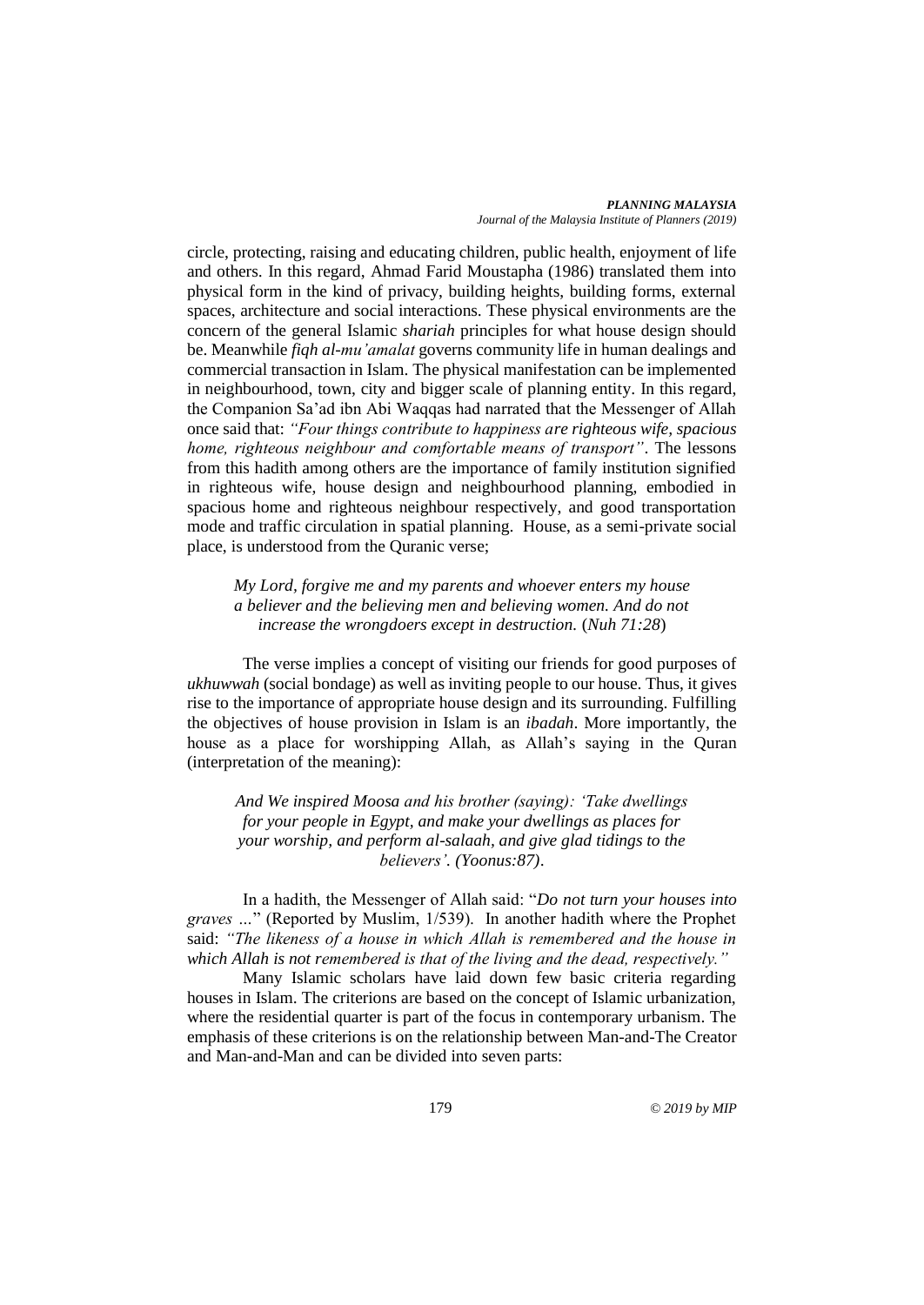circle, protecting, raising and educating children, public health, enjoyment of life and others. In this regard, Ahmad Farid Moustapha (1986) translated them into physical form in the kind of privacy, building heights, building forms, external spaces, architecture and social interactions. These physical environments are the concern of the general Islamic *shariah* principles for what house design should be. Meanwhile *fiqh al-mu'amalat* governs community life in human dealings and commercial transaction in Islam. The physical manifestation can be implemented in neighbourhood, town, city and bigger scale of planning entity. In this regard, the Companion Sa'ad ibn Abi Waqqas had narrated that the Messenger of Allah once said that: *"Four things contribute to happiness are righteous wife, spacious home, righteous neighbour and comfortable means of transport"*. The lessons from this hadith among others are the importance of family institution signified in righteous wife, house design and neighbourhood planning, embodied in spacious home and righteous neighbour respectively, and good transportation mode and traffic circulation in spatial planning. House, as a semi-private social place, is understood from the Quranic verse;

*My Lord, forgive me and my parents and whoever enters my house a believer and the believing men and believing women. And do not increase the wrongdoers except in destruction.* (*Nuh 71:28*)

The verse implies a concept of visiting our friends for good purposes of *ukhuwwah* (social bondage) as well as inviting people to our house. Thus, it gives rise to the importance of appropriate house design and its surrounding. Fulfilling the objectives of house provision in Islam is an *ibadah*. More importantly, the house as a place for worshipping Allah, as Allah's saying in the Quran (interpretation of the meaning):

*And We inspired Moosa and his brother (saying): 'Take dwellings for your people in Egypt, and make your dwellings as places for your worship, and perform al-salaah, and give glad tidings to the believers'. (Yoonus:87)*.

In a hadith, the Messenger of Allah said: "*Do not turn your houses into graves …*" (Reported by Muslim, 1/539). In another hadith where the Prophet said: *"The likeness of a house in which Allah is remembered and the house in which Allah is not remembered is that of the living and the dead, respectively."*

Many Islamic scholars have laid down few basic criteria regarding houses in Islam. The criterions are based on the concept of Islamic urbanization, where the residential quarter is part of the focus in contemporary urbanism. The emphasis of these criterions is on the relationship between Man-and-The Creator and Man-and-Man and can be divided into seven parts: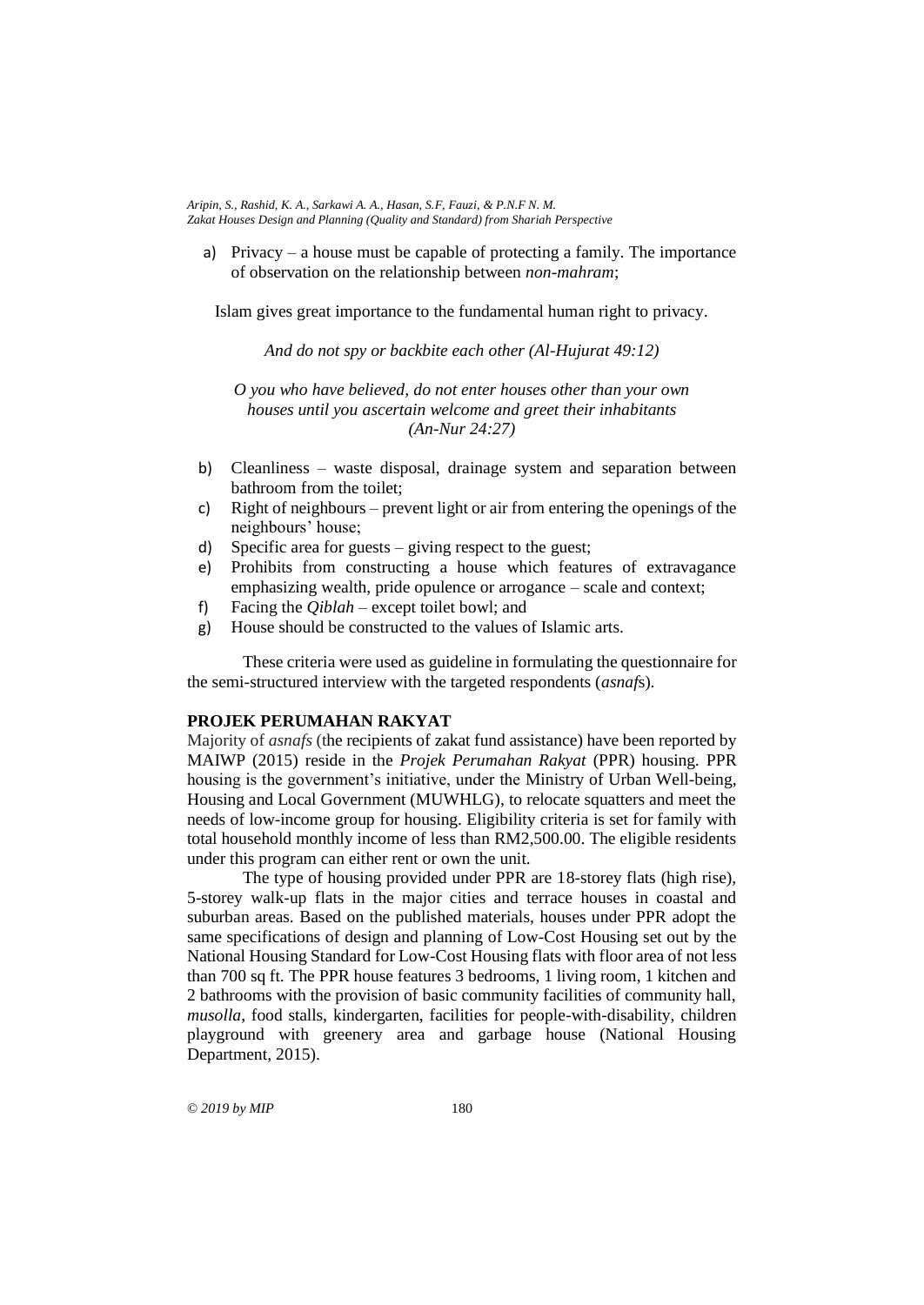a) Privacy – a house must be capable of protecting a family. The importance of observation on the relationship between *non-mahram*;

Islam gives great importance to the fundamental human right to privacy.

*And do not spy or backbite each other (Al-Hujurat 49:12)*

*O you who have believed, do not enter houses other than your own houses until you ascertain welcome and greet their inhabitants (An-Nur 24:27)*

- b) Cleanliness waste disposal, drainage system and separation between bathroom from the toilet;
- c) Right of neighbours prevent light or air from entering the openings of the neighbours' house;
- d) Specific area for guests giving respect to the guest;
- e) Prohibits from constructing a house which features of extravagance emphasizing wealth, pride opulence or arrogance – scale and context;
- f) Facing the *Qiblah* except toilet bowl; and
- g) House should be constructed to the values of Islamic arts.

These criteria were used as guideline in formulating the questionnaire for the semi-structured interview with the targeted respondents (*asnaf*s).

#### **PROJEK PERUMAHAN RAKYAT**

Majority of *asnafs* (the recipients of zakat fund assistance) have been reported by MAIWP (2015) reside in the *Projek Perumahan Rakyat* (PPR) housing. PPR housing is the government's initiative, under the Ministry of Urban Well-being, Housing and Local Government (MUWHLG), to relocate squatters and meet the needs of low-income group for housing. Eligibility criteria is set for family with total household monthly income of less than RM2,500.00. The eligible residents under this program can either rent or own the unit.

The type of housing provided under PPR are 18-storey flats (high rise), 5-storey walk-up flats in the major cities and terrace houses in coastal and suburban areas. Based on the published materials, houses under PPR adopt the same specifications of design and planning of Low-Cost Housing set out by the National Housing Standard for Low-Cost Housing flats with floor area of not less than 700 sq ft. The PPR house features 3 bedrooms, 1 living room, 1 kitchen and 2 bathrooms with the provision of basic community facilities of community hall, *musolla*, food stalls, kindergarten, facilities for people-with-disability, children playground with greenery area and garbage house (National Housing Department, 2015).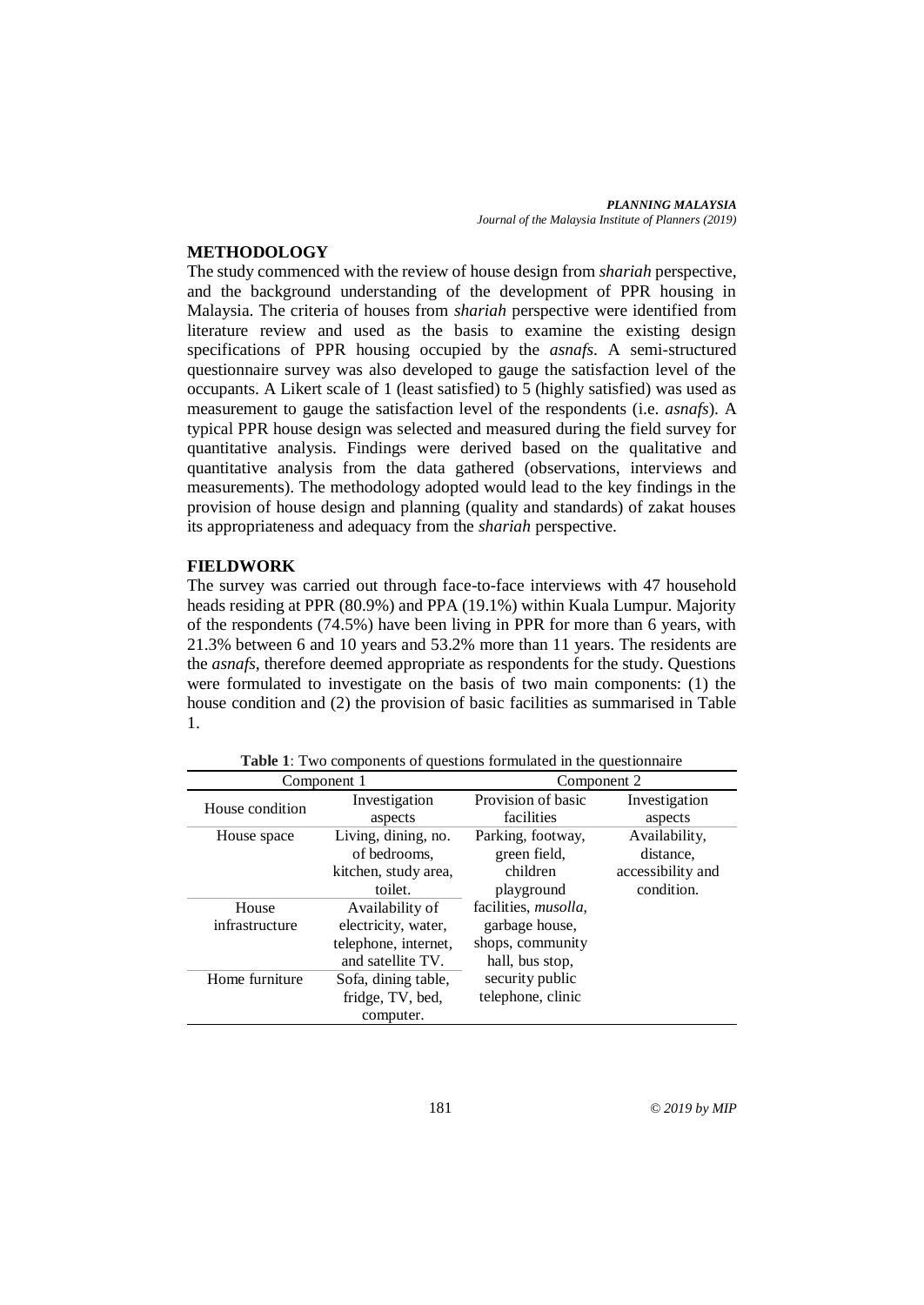### **METHODOLOGY**

The study commenced with the review of house design from *shariah* perspective, and the background understanding of the development of PPR housing in Malaysia. The criteria of houses from *shariah* perspective were identified from literature review and used as the basis to examine the existing design specifications of PPR housing occupied by the *asnafs*. A semi-structured questionnaire survey was also developed to gauge the satisfaction level of the occupants. A Likert scale of 1 (least satisfied) to 5 (highly satisfied) was used as measurement to gauge the satisfaction level of the respondents (i.e. *asnafs*). A typical PPR house design was selected and measured during the field survey for quantitative analysis. Findings were derived based on the qualitative and quantitative analysis from the data gathered (observations, interviews and measurements). The methodology adopted would lead to the key findings in the provision of house design and planning (quality and standards) of zakat houses its appropriateness and adequacy from the *shariah* perspective.

#### **FIELDWORK**

The survey was carried out through face-to-face interviews with 47 household heads residing at PPR (80.9%) and PPA (19.1%) within Kuala Lumpur. Majority of the respondents (74.5%) have been living in PPR for more than 6 years, with 21.3% between 6 and 10 years and 53.2% more than 11 years. The residents are the *asnafs*, therefore deemed appropriate as respondents for the study. Questions were formulated to investigate on the basis of two main components: (1) the house condition and (2) the provision of basic facilities as summarised in Table 1.

| Component 1     |                      | Component 2                  |                   |  |  |
|-----------------|----------------------|------------------------------|-------------------|--|--|
| House condition | Investigation        | Provision of basic           | Investigation     |  |  |
|                 | aspects              | facilities                   | aspects           |  |  |
| House space     | Living, dining, no.  | Parking, footway,            | Availability,     |  |  |
|                 | of bedrooms.         | green field,                 | distance.         |  |  |
|                 | kitchen, study area, | children                     | accessibility and |  |  |
|                 | toilet.              | playground                   | condition.        |  |  |
| House           | Availability of      | facilities, <i>musolla</i> , |                   |  |  |
| infrastructure  | electricity, water,  | garbage house,               |                   |  |  |
|                 | telephone, internet, | shops, community             |                   |  |  |
|                 | and satellite TV.    | hall, bus stop,              |                   |  |  |
| Home furniture  | Sofa, dining table,  | security public              |                   |  |  |
|                 | fridge, TV, bed,     | telephone, clinic            |                   |  |  |
|                 | computer.            |                              |                   |  |  |

**Table 1**: Two components of questions formulated in the questionnaire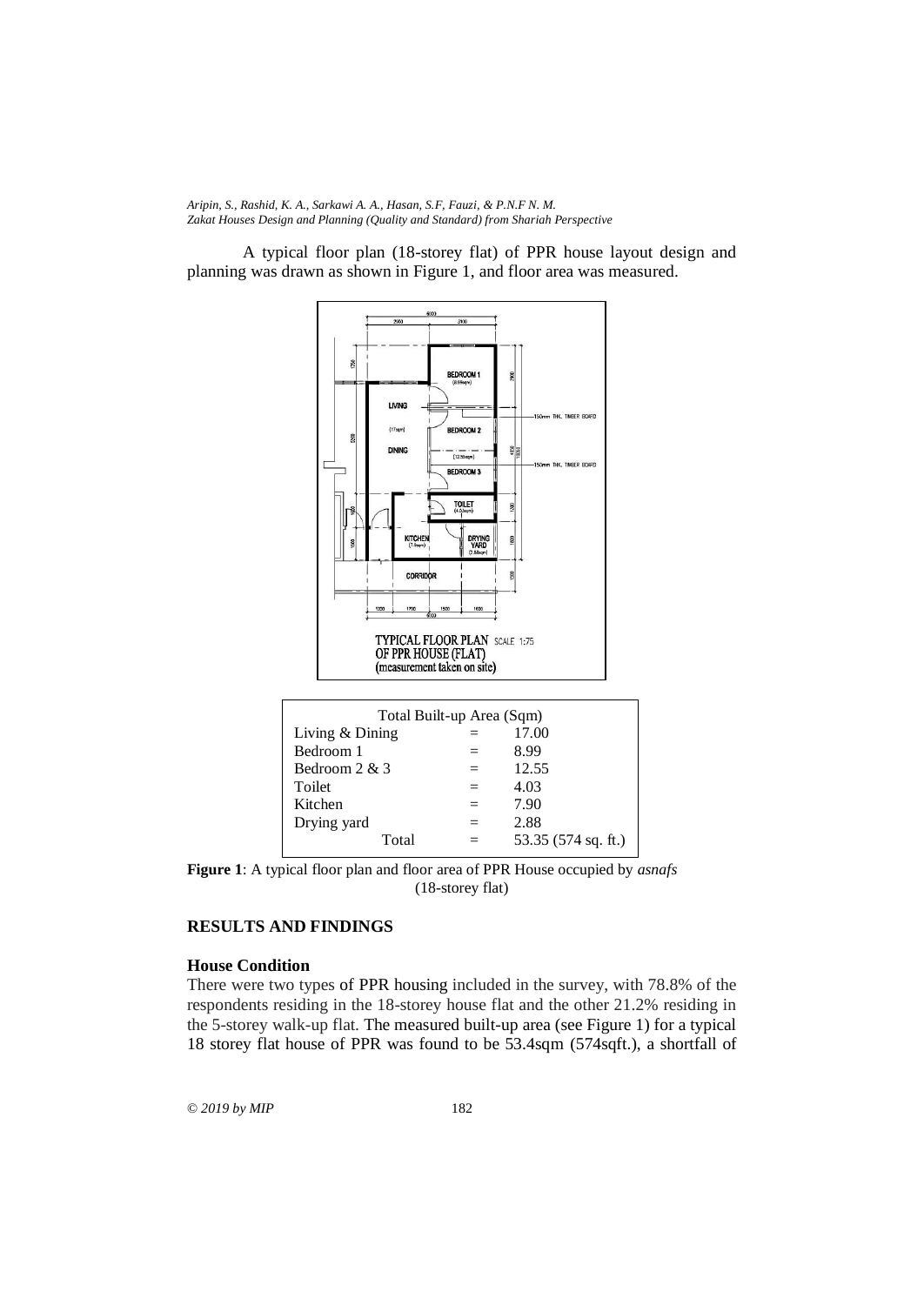A typical floor plan (18-storey flat) of PPR house layout design and planning was drawn as shown in Figure 1, and floor area was measured.



| Total Built-up Area (Sqm) |  |                     |  |  |  |  |  |
|---------------------------|--|---------------------|--|--|--|--|--|
| Living & Dining           |  | 17.00               |  |  |  |  |  |
| Bedroom 1                 |  | 8.99                |  |  |  |  |  |
| Bedroom 2 & 3             |  | 12.55               |  |  |  |  |  |
| Toilet                    |  | 4.03                |  |  |  |  |  |
| Kitchen                   |  | 7.90                |  |  |  |  |  |
| Drying yard               |  | 2.88                |  |  |  |  |  |
| Total                     |  | 53.35 (574 sq. ft.) |  |  |  |  |  |

٦

**Figure 1**: A typical floor plan and floor area of PPR House occupied by *asnafs* (18-storey flat)

## **RESULTS AND FINDINGS**

### **House Condition**

There were two types of PPR housing included in the survey, with 78.8% of the respondents residing in the 18-storey house flat and the other 21.2% residing in the 5-storey walk-up flat. The measured built-up area (see Figure 1) for a typical 18 storey flat house of PPR was found to be 53.4sqm (574sqft.), a shortfall of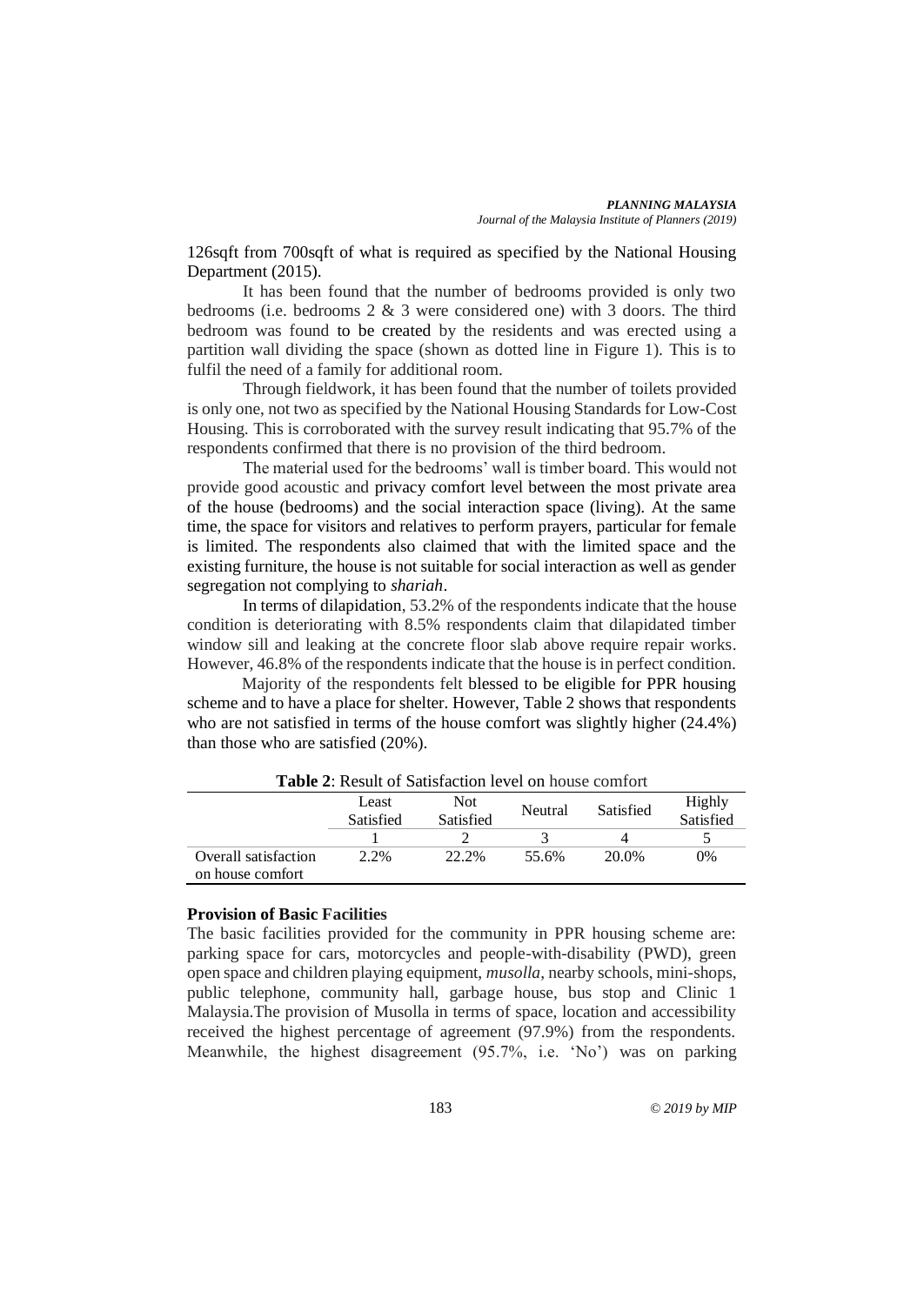126sqft from 700sqft of what is required as specified by the National Housing Department (2015).

It has been found that the number of bedrooms provided is only two bedrooms (i.e. bedrooms  $2 \& 3$  were considered one) with 3 doors. The third bedroom was found to be created by the residents and was erected using a partition wall dividing the space (shown as dotted line in Figure 1). This is to fulfil the need of a family for additional room.

Through fieldwork, it has been found that the number of toilets provided is only one, not two as specified by the National Housing Standards for Low-Cost Housing. This is corroborated with the survey result indicating that 95.7% of the respondents confirmed that there is no provision of the third bedroom.

The material used for the bedrooms' wall is timber board. This would not provide good acoustic and privacy comfort level between the most private area of the house (bedrooms) and the social interaction space (living). At the same time, the space for visitors and relatives to perform prayers, particular for female is limited. The respondents also claimed that with the limited space and the existing furniture, the house is not suitable for social interaction as well as gender segregation not complying to *shariah*.

In terms of dilapidation, 53.2% of the respondents indicate that the house condition is deteriorating with 8.5% respondents claim that dilapidated timber window sill and leaking at the concrete floor slab above require repair works. However, 46.8% of the respondents indicate that the house is in perfect condition.

Majority of the respondents felt blessed to be eligible for PPR housing scheme and to have a place for shelter. However, Table 2 shows that respondents who are not satisfied in terms of the house comfort was slightly higher  $(24.4\%)$ than those who are satisfied (20%).

| $\blacksquare$ . The there is a complete that is a construction of the second through $\blacksquare$ |                           |                  |         |           |                     |  |  |
|------------------------------------------------------------------------------------------------------|---------------------------|------------------|---------|-----------|---------------------|--|--|
|                                                                                                      | Least<br><b>Satisfied</b> | Not<br>Satisfied | Neutral | Satisfied | Highly<br>Satisfied |  |  |
|                                                                                                      |                           |                  |         |           |                     |  |  |
| Overall satisfaction<br>on house comfort                                                             | 2.2%                      | 22.2%            | 55.6%   | 20.0%     | 0%                  |  |  |

**Table 2**: Result of Satisfaction level on house comfort

### **Provision of Basic Facilities**

The basic facilities provided for the community in PPR housing scheme are: parking space for cars, motorcycles and people-with-disability (PWD), green open space and children playing equipment, *musolla*, nearby schools, mini-shops, public telephone, community hall, garbage house, bus stop and Clinic 1 Malaysia.The provision of Musolla in terms of space, location and accessibility received the highest percentage of agreement (97.9%) from the respondents. Meanwhile, the highest disagreement (95.7%, i.e. 'No') was on parking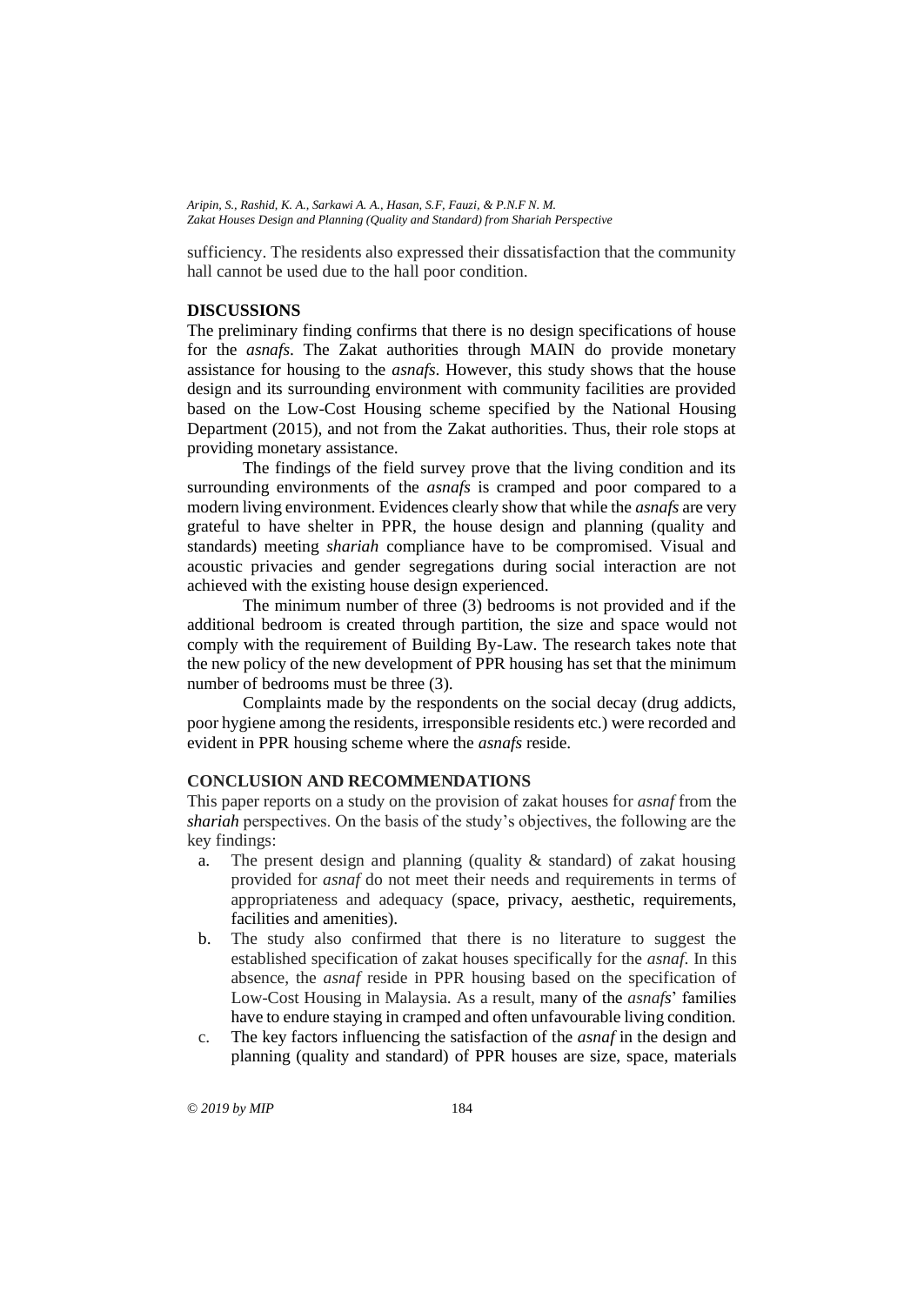sufficiency. The residents also expressed their dissatisfaction that the community hall cannot be used due to the hall poor condition.

## **DISCUSSIONS**

The preliminary finding confirms that there is no design specifications of house for the *asnafs*. The Zakat authorities through MAIN do provide monetary assistance for housing to the *asnafs*. However, this study shows that the house design and its surrounding environment with community facilities are provided based on the Low-Cost Housing scheme specified by the National Housing Department (2015), and not from the Zakat authorities. Thus, their role stops at providing monetary assistance.

The findings of the field survey prove that the living condition and its surrounding environments of the *asnafs* is cramped and poor compared to a modern living environment. Evidences clearly show that while the *asnafs* are very grateful to have shelter in PPR, the house design and planning (quality and standards) meeting *shariah* compliance have to be compromised. Visual and acoustic privacies and gender segregations during social interaction are not achieved with the existing house design experienced.

The minimum number of three (3) bedrooms is not provided and if the additional bedroom is created through partition, the size and space would not comply with the requirement of Building By-Law. The research takes note that the new policy of the new development of PPR housing has set that the minimum number of bedrooms must be three (3).

Complaints made by the respondents on the social decay (drug addicts, poor hygiene among the residents, irresponsible residents etc.) were recorded and evident in PPR housing scheme where the *asnafs* reside.

## **CONCLUSION AND RECOMMENDATIONS**

This paper reports on a study on the provision of zakat houses for *asnaf* from the *shariah* perspectives. On the basis of the study's objectives, the following are the key findings:

- a. The present design and planning (quality  $\&$  standard) of zakat housing provided for *asnaf* do not meet their needs and requirements in terms of appropriateness and adequacy (space, privacy, aesthetic, requirements, facilities and amenities).
- b. The study also confirmed that there is no literature to suggest the established specification of zakat houses specifically for the *asnaf*. In this absence, the *asnaf* reside in PPR housing based on the specification of Low-Cost Housing in Malaysia. As a result, many of the *asnafs*' families have to endure staying in cramped and often unfavourable living condition.
- c. The key factors influencing the satisfaction of the *asnaf* in the design and planning (quality and standard) of PPR houses are size, space, materials